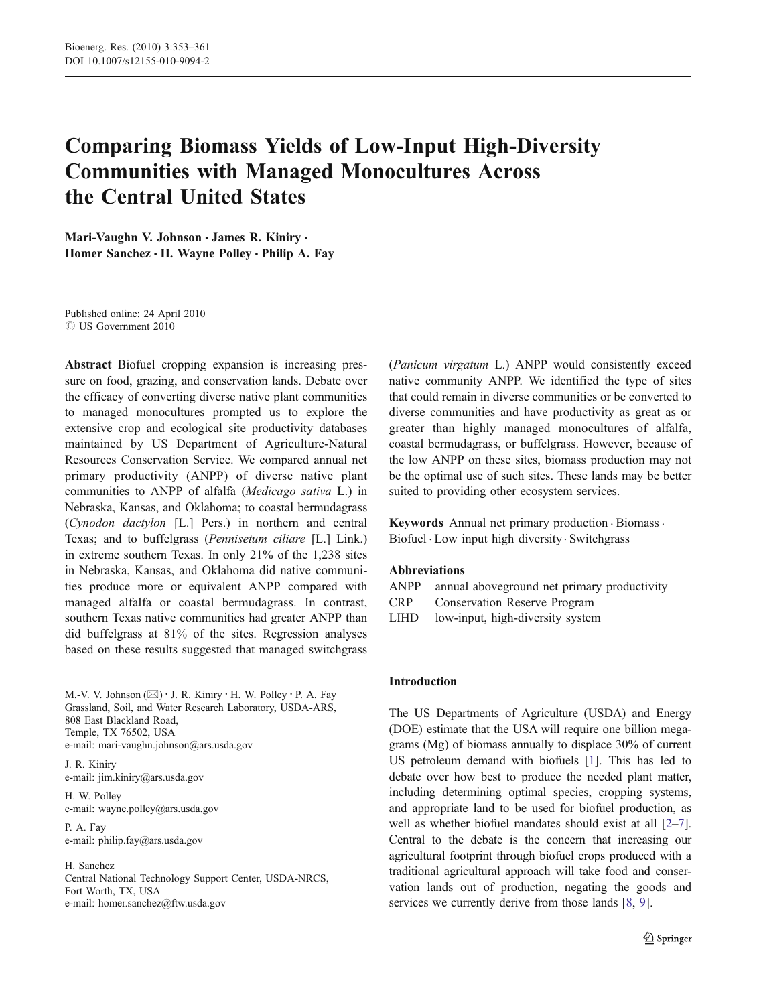# Comparing Biomass Yields of Low-Input High-Diversity Communities with Managed Monocultures Across the Central United States

Mari-Vaughn V. Johnson · James R. Kiniry · Homer Sanchez · H. Wayne Polley · Philip A. Fay

Published online: 24 April 2010  $\odot$  US Government 2010

Abstract Biofuel cropping expansion is increasing pressure on food, grazing, and conservation lands. Debate over the efficacy of converting diverse native plant communities to managed monocultures prompted us to explore the extensive crop and ecological site productivity databases maintained by US Department of Agriculture-Natural Resources Conservation Service. We compared annual net primary productivity (ANPP) of diverse native plant communities to ANPP of alfalfa (Medicago sativa L.) in Nebraska, Kansas, and Oklahoma; to coastal bermudagrass (Cynodon dactylon [L.] Pers.) in northern and central Texas; and to buffelgrass (Pennisetum ciliare [L.] Link.) in extreme southern Texas. In only 21% of the 1,238 sites in Nebraska, Kansas, and Oklahoma did native communities produce more or equivalent ANPP compared with managed alfalfa or coastal bermudagrass. In contrast, southern Texas native communities had greater ANPP than did buffelgrass at 81% of the sites. Regression analyses based on these results suggested that managed switchgrass

M.-V. V. Johnson (⊠) · J. R. Kiniry · H. W. Polley · P. A. Fay Grassland, Soil, and Water Research Laboratory, USDA-ARS, 808 East Blackland Road, Temple, TX 76502, USA e-mail: mari-vaughn.johnson@ars.usda.gov

J. R. Kiniry e-mail: jim.kiniry@ars.usda.gov

H. W. Polley e-mail: wayne.polley@ars.usda.gov

P. A. Fay e-mail: philip.fay@ars.usda.gov

H. Sanchez

Central National Technology Support Center, USDA-NRCS, Fort Worth, TX, USA e-mail: homer.sanchez@ftw.usda.gov

(Panicum virgatum L.) ANPP would consistently exceed native community ANPP. We identified the type of sites that could remain in diverse communities or be converted to diverse communities and have productivity as great as or greater than highly managed monocultures of alfalfa, coastal bermudagrass, or buffelgrass. However, because of the low ANPP on these sites, biomass production may not be the optimal use of such sites. These lands may be better suited to providing other ecosystem services.

Keywords Annual net primary production · Biomass · Biofuel . Low input high diversity. Switchgrass

## Abbreviations

ANPP annual aboveground net primary productivity

CRP Conservation Reserve Program

LIHD low-input, high-diversity system

#### Introduction

The US Departments of Agriculture (USDA) and Energy (DOE) estimate that the USA will require one billion megagrams (Mg) of biomass annually to displace 30% of current US petroleum demand with biofuels [\[1](#page-7-0)]. This has led to debate over how best to produce the needed plant matter, including determining optimal species, cropping systems, and appropriate land to be used for biofuel production, as well as whether biofuel mandates should exist at all  $[2-7]$  $[2-7]$  $[2-7]$ . Central to the debate is the concern that increasing our agricultural footprint through biofuel crops produced with a traditional agricultural approach will take food and conservation lands out of production, negating the goods and services we currently derive from those lands [[8,](#page-7-0) [9](#page-7-0)].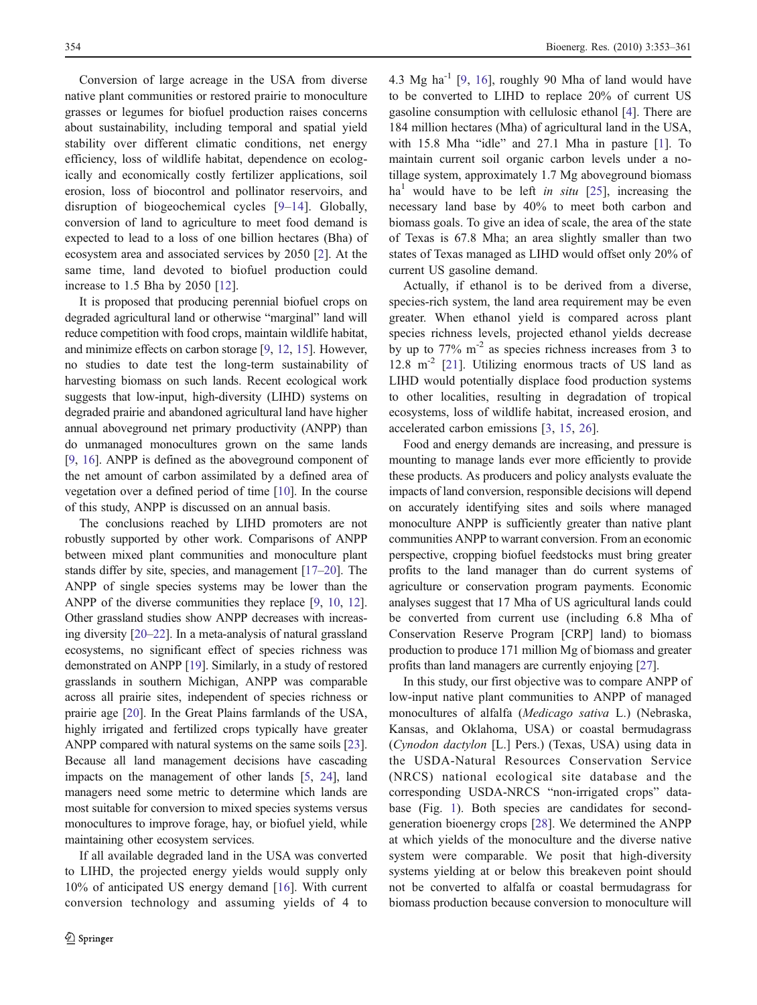Conversion of large acreage in the USA from diverse native plant communities or restored prairie to monoculture grasses or legumes for biofuel production raises concerns about sustainability, including temporal and spatial yield stability over different climatic conditions, net energy efficiency, loss of wildlife habitat, dependence on ecologically and economically costly fertilizer applications, soil erosion, loss of biocontrol and pollinator reservoirs, and disruption of biogeochemical cycles [[9](#page-7-0)–[14](#page-7-0)]. Globally, conversion of land to agriculture to meet food demand is expected to lead to a loss of one billion hectares (Bha) of ecosystem area and associated services by 2050 [\[2](#page-7-0)]. At the same time, land devoted to biofuel production could increase to 1.5 Bha by 2050 [\[12](#page-7-0)].

It is proposed that producing perennial biofuel crops on degraded agricultural land or otherwise "marginal" land will reduce competition with food crops, maintain wildlife habitat, and minimize effects on carbon storage [[9,](#page-7-0) [12,](#page-7-0) [15\]](#page-7-0). However, no studies to date test the long-term sustainability of harvesting biomass on such lands. Recent ecological work suggests that low-input, high-diversity (LIHD) systems on degraded prairie and abandoned agricultural land have higher annual aboveground net primary productivity (ANPP) than do unmanaged monocultures grown on the same lands [\[9](#page-7-0), [16\]](#page-7-0). ANPP is defined as the aboveground component of the net amount of carbon assimilated by a defined area of vegetation over a defined period of time [\[10](#page-7-0)]. In the course of this study, ANPP is discussed on an annual basis.

The conclusions reached by LIHD promoters are not robustly supported by other work. Comparisons of ANPP between mixed plant communities and monoculture plant stands differ by site, species, and management [\[17](#page-7-0)–[20\]](#page-7-0). The ANPP of single species systems may be lower than the ANPP of the diverse communities they replace [[9,](#page-7-0) [10,](#page-7-0) [12\]](#page-7-0). Other grassland studies show ANPP decreases with increasing diversity [[20](#page-7-0)–[22](#page-7-0)]. In a meta-analysis of natural grassland ecosystems, no significant effect of species richness was demonstrated on ANPP [[19\]](#page-7-0). Similarly, in a study of restored grasslands in southern Michigan, ANPP was comparable across all prairie sites, independent of species richness or prairie age [[20\]](#page-7-0). In the Great Plains farmlands of the USA, highly irrigated and fertilized crops typically have greater ANPP compared with natural systems on the same soils [[23\]](#page-7-0). Because all land management decisions have cascading impacts on the management of other lands [\[5](#page-7-0), [24\]](#page-7-0), land managers need some metric to determine which lands are most suitable for conversion to mixed species systems versus monocultures to improve forage, hay, or biofuel yield, while maintaining other ecosystem services.

If all available degraded land in the USA was converted to LIHD, the projected energy yields would supply only 10% of anticipated US energy demand [\[16](#page-7-0)]. With current conversion technology and assuming yields of 4 to 4.3 Mg ha<sup>-1</sup> [[9,](#page-7-0) [16\]](#page-7-0), roughly 90 Mha of land would have to be converted to LIHD to replace 20% of current US gasoline consumption with cellulosic ethanol [[4\]](#page-7-0). There are 184 million hectares (Mha) of agricultural land in the USA, with 15.8 Mha "idle" and 27.1 Mha in pasture [\[1](#page-7-0)]. To maintain current soil organic carbon levels under a notillage system, approximately 1.7 Mg aboveground biomass  $ha<sup>1</sup>$  would have to be left *in situ* [\[25](#page-7-0)], increasing the necessary land base by 40% to meet both carbon and biomass goals. To give an idea of scale, the area of the state of Texas is 67.8 Mha; an area slightly smaller than two states of Texas managed as LIHD would offset only 20% of current US gasoline demand.

Actually, if ethanol is to be derived from a diverse, species-rich system, the land area requirement may be even greater. When ethanol yield is compared across plant species richness levels, projected ethanol yields decrease by up to 77% m-2 as species richness increases from 3 to 12.8  $m<sup>-2</sup>$  [[21\]](#page-7-0). Utilizing enormous tracts of US land as LIHD would potentially displace food production systems to other localities, resulting in degradation of tropical ecosystems, loss of wildlife habitat, increased erosion, and accelerated carbon emissions [\[3](#page-7-0), [15](#page-7-0), [26\]](#page-7-0).

Food and energy demands are increasing, and pressure is mounting to manage lands ever more efficiently to provide these products. As producers and policy analysts evaluate the impacts of land conversion, responsible decisions will depend on accurately identifying sites and soils where managed monoculture ANPP is sufficiently greater than native plant communities ANPP to warrant conversion. From an economic perspective, cropping biofuel feedstocks must bring greater profits to the land manager than do current systems of agriculture or conservation program payments. Economic analyses suggest that 17 Mha of US agricultural lands could be converted from current use (including 6.8 Mha of Conservation Reserve Program [CRP] land) to biomass production to produce 171 million Mg of biomass and greater profits than land managers are currently enjoying [[27](#page-7-0)].

In this study, our first objective was to compare ANPP of low-input native plant communities to ANPP of managed monocultures of alfalfa (Medicago sativa L.) (Nebraska, Kansas, and Oklahoma, USA) or coastal bermudagrass (Cynodon dactylon [L.] Pers.) (Texas, USA) using data in the USDA-Natural Resources Conservation Service (NRCS) national ecological site database and the corresponding USDA-NRCS "non-irrigated crops" database (Fig. [1](#page-2-0)). Both species are candidates for secondgeneration bioenergy crops [\[28](#page-7-0)]. We determined the ANPP at which yields of the monoculture and the diverse native system were comparable. We posit that high-diversity systems yielding at or below this breakeven point should not be converted to alfalfa or coastal bermudagrass for biomass production because conversion to monoculture will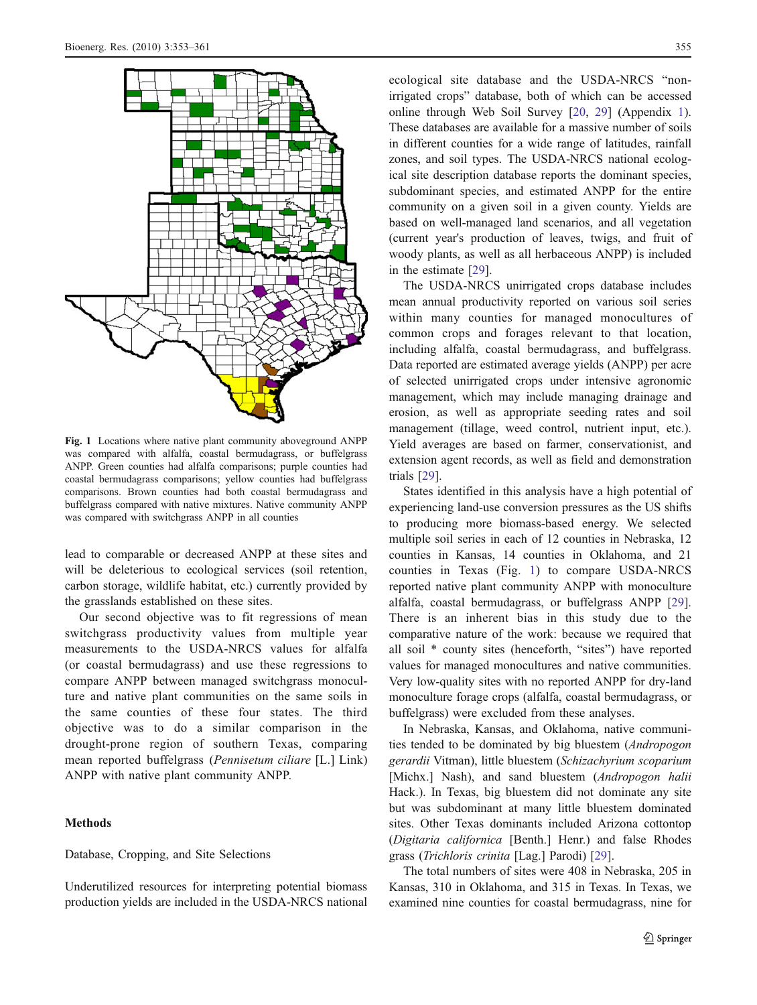<span id="page-2-0"></span>

Fig. 1 Locations where native plant community aboveground ANPP was compared with alfalfa, coastal bermudagrass, or buffelgrass ANPP. Green counties had alfalfa comparisons; purple counties had coastal bermudagrass comparisons; yellow counties had buffelgrass comparisons. Brown counties had both coastal bermudagrass and buffelgrass compared with native mixtures. Native community ANPP was compared with switchgrass ANPP in all counties

lead to comparable or decreased ANPP at these sites and will be deleterious to ecological services (soil retention, carbon storage, wildlife habitat, etc.) currently provided by the grasslands established on these sites.

Our second objective was to fit regressions of mean switchgrass productivity values from multiple year measurements to the USDA-NRCS values for alfalfa (or coastal bermudagrass) and use these regressions to compare ANPP between managed switchgrass monoculture and native plant communities on the same soils in the same counties of these four states. The third objective was to do a similar comparison in the drought-prone region of southern Texas, comparing mean reported buffelgrass (Pennisetum ciliare [L.] Link) ANPP with native plant community ANPP.

## Methods

Database, Cropping, and Site Selections

Underutilized resources for interpreting potential biomass production yields are included in the USDA-NRCS national

ecological site database and the USDA-NRCS "nonirrigated crops" database, both of which can be accessed online through Web Soil Survey [[20,](#page-7-0) [29](#page-7-0)] (Appendix [1\)](#page-6-0). These databases are available for a massive number of soils in different counties for a wide range of latitudes, rainfall zones, and soil types. The USDA-NRCS national ecological site description database reports the dominant species, subdominant species, and estimated ANPP for the entire community on a given soil in a given county. Yields are based on well-managed land scenarios, and all vegetation (current year's production of leaves, twigs, and fruit of woody plants, as well as all herbaceous ANPP) is included in the estimate [[29\]](#page-7-0).

The USDA-NRCS unirrigated crops database includes mean annual productivity reported on various soil series within many counties for managed monocultures of common crops and forages relevant to that location, including alfalfa, coastal bermudagrass, and buffelgrass. Data reported are estimated average yields (ANPP) per acre of selected unirrigated crops under intensive agronomic management, which may include managing drainage and erosion, as well as appropriate seeding rates and soil management (tillage, weed control, nutrient input, etc.). Yield averages are based on farmer, conservationist, and extension agent records, as well as field and demonstration trials [\[29](#page-7-0)].

States identified in this analysis have a high potential of experiencing land-use conversion pressures as the US shifts to producing more biomass-based energy. We selected multiple soil series in each of 12 counties in Nebraska, 12 counties in Kansas, 14 counties in Oklahoma, and 21 counties in Texas (Fig. 1) to compare USDA-NRCS reported native plant community ANPP with monoculture alfalfa, coastal bermudagrass, or buffelgrass ANPP [[29\]](#page-7-0). There is an inherent bias in this study due to the comparative nature of the work: because we required that all soil \* county sites (henceforth, "sites") have reported values for managed monocultures and native communities. Very low-quality sites with no reported ANPP for dry-land monoculture forage crops (alfalfa, coastal bermudagrass, or buffelgrass) were excluded from these analyses.

In Nebraska, Kansas, and Oklahoma, native communities tended to be dominated by big bluestem (Andropogon gerardii Vitman), little bluestem (Schizachyrium scoparium [Michx.] Nash), and sand bluestem (Andropogon halii Hack.). In Texas, big bluestem did not dominate any site but was subdominant at many little bluestem dominated sites. Other Texas dominants included Arizona cottontop (Digitaria californica [Benth.] Henr.) and false Rhodes grass (Trichloris crinita [Lag.] Parodi) [[29\]](#page-7-0).

The total numbers of sites were 408 in Nebraska, 205 in Kansas, 310 in Oklahoma, and 315 in Texas. In Texas, we examined nine counties for coastal bermudagrass, nine for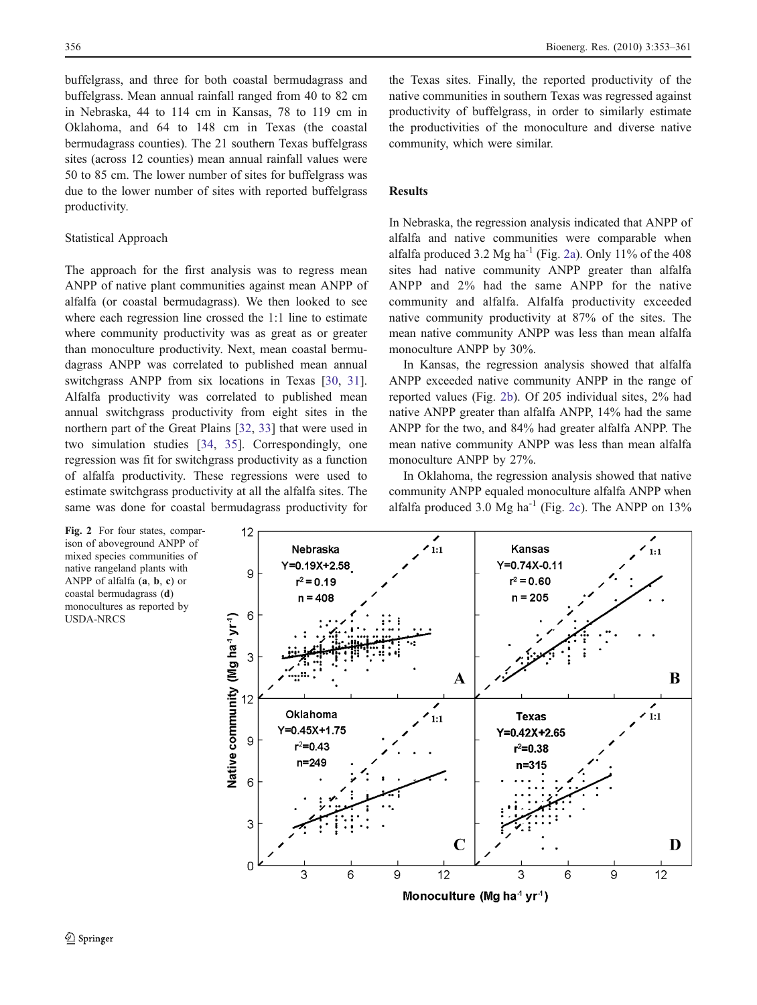<span id="page-3-0"></span>buffelgrass, and three for both coastal bermudagrass and buffelgrass. Mean annual rainfall ranged from 40 to 82 cm in Nebraska, 44 to 114 cm in Kansas, 78 to 119 cm in Oklahoma, and 64 to 148 cm in Texas (the coastal bermudagrass counties). The 21 southern Texas buffelgrass sites (across 12 counties) mean annual rainfall values were 50 to 85 cm. The lower number of sites for buffelgrass was due to the lower number of sites with reported buffelgrass productivity.

#### Statistical Approach

The approach for the first analysis was to regress mean ANPP of native plant communities against mean ANPP of alfalfa (or coastal bermudagrass). We then looked to see where each regression line crossed the 1:1 line to estimate where community productivity was as great as or greater than monoculture productivity. Next, mean coastal bermudagrass ANPP was correlated to published mean annual switchgrass ANPP from six locations in Texas [\[30](#page-7-0), [31](#page-7-0)]. Alfalfa productivity was correlated to published mean annual switchgrass productivity from eight sites in the northern part of the Great Plains [\[32](#page-8-0), [33\]](#page-8-0) that were used in two simulation studies [\[34](#page-8-0), [35](#page-8-0)]. Correspondingly, one regression was fit for switchgrass productivity as a function of alfalfa productivity. These regressions were used to estimate switchgrass productivity at all the alfalfa sites. The same was done for coastal bermudagrass productivity for

Fig. 2 For four states, comparison of aboveground ANPP of mixed species communities of native rangeland plants with ANPP of alfalfa (a, b, c) or coastal bermudagrass (d) monocultures as reported by USDA-NRCS

the Texas sites. Finally, the reported productivity of the native communities in southern Texas was regressed against productivity of buffelgrass, in order to similarly estimate the productivities of the monoculture and diverse native community, which were similar.

### Results

In Nebraska, the regression analysis indicated that ANPP of alfalfa and native communities were comparable when alfalfa produced 3.2 Mg ha<sup>-1</sup> (Fig. 2a). Only 11% of the  $408$ sites had native community ANPP greater than alfalfa ANPP and 2% had the same ANPP for the native community and alfalfa. Alfalfa productivity exceeded native community productivity at 87% of the sites. The mean native community ANPP was less than mean alfalfa monoculture ANPP by 30%.

In Kansas, the regression analysis showed that alfalfa ANPP exceeded native community ANPP in the range of reported values (Fig. 2b). Of 205 individual sites, 2% had native ANPP greater than alfalfa ANPP, 14% had the same ANPP for the two, and 84% had greater alfalfa ANPP. The mean native community ANPP was less than mean alfalfa monoculture ANPP by 27%.

In Oklahoma, the regression analysis showed that native community ANPP equaled monoculture alfalfa ANPP when alfalfa produced 3.0 Mg ha<sup>-1</sup> (Fig. 2c). The ANPP on  $13\%$ 



Monoculture (Mg ha $4 \text{ yr}^4$ )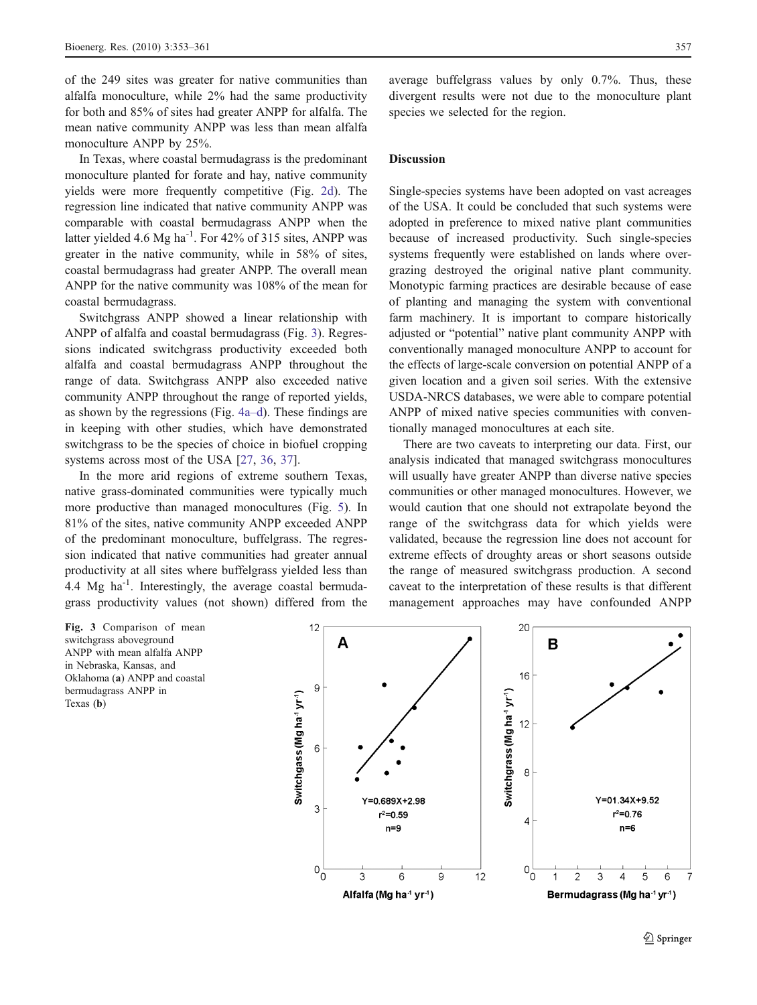<span id="page-4-0"></span>of the 249 sites was greater for native communities than alfalfa monoculture, while 2% had the same productivity for both and 85% of sites had greater ANPP for alfalfa. The mean native community ANPP was less than mean alfalfa monoculture ANPP by 25%.

In Texas, where coastal bermudagrass is the predominant monoculture planted for forate and hay, native community yields were more frequently competitive (Fig. [2d\)](#page-3-0). The regression line indicated that native community ANPP was comparable with coastal bermudagrass ANPP when the latter yielded 4.6  $Mg$  ha<sup>-1</sup>. For 42% of 315 sites, ANPP was greater in the native community, while in 58% of sites, coastal bermudagrass had greater ANPP. The overall mean ANPP for the native community was 108% of the mean for coastal bermudagrass.

Switchgrass ANPP showed a linear relationship with ANPP of alfalfa and coastal bermudagrass (Fig. 3). Regressions indicated switchgrass productivity exceeded both alfalfa and coastal bermudagrass ANPP throughout the range of data. Switchgrass ANPP also exceeded native community ANPP throughout the range of reported yields, as shown by the regressions (Fig. [4a](#page-5-0)–d). These findings are in keeping with other studies, which have demonstrated switchgrass to be the species of choice in biofuel cropping systems across most of the USA [\[27](#page-7-0), [36](#page-8-0), [37\]](#page-8-0).

In the more arid regions of extreme southern Texas, native grass-dominated communities were typically much more productive than managed monocultures (Fig. [5\)](#page-5-0). In 81% of the sites, native community ANPP exceeded ANPP of the predominant monoculture, buffelgrass. The regression indicated that native communities had greater annual productivity at all sites where buffelgrass yielded less than 4.4  $Mg$  ha<sup>-1</sup>. Interestingly, the average coastal bermudagrass productivity values (not shown) differed from the average buffelgrass values by only 0.7%. Thus, these divergent results were not due to the monoculture plant species we selected for the region.

## Discussion

Single-species systems have been adopted on vast acreages of the USA. It could be concluded that such systems were adopted in preference to mixed native plant communities because of increased productivity. Such single-species systems frequently were established on lands where overgrazing destroyed the original native plant community. Monotypic farming practices are desirable because of ease of planting and managing the system with conventional farm machinery. It is important to compare historically adjusted or "potential" native plant community ANPP with conventionally managed monoculture ANPP to account for the effects of large-scale conversion on potential ANPP of a given location and a given soil series. With the extensive USDA-NRCS databases, we were able to compare potential ANPP of mixed native species communities with conventionally managed monocultures at each site.

There are two caveats to interpreting our data. First, our analysis indicated that managed switchgrass monocultures will usually have greater ANPP than diverse native species communities or other managed monocultures. However, we would caution that one should not extrapolate beyond the range of the switchgrass data for which yields were validated, because the regression line does not account for extreme effects of droughty areas or short seasons outside the range of measured switchgrass production. A second caveat to the interpretation of these results is that different management approaches may have confounded ANPP

Fig. 3 Comparison of mean switchgrass aboveground ANPP with mean alfalfa ANPP in Nebraska, Kansas, and Oklahoma (a) ANPP and coastal bermudagrass ANPP in Texas (b)

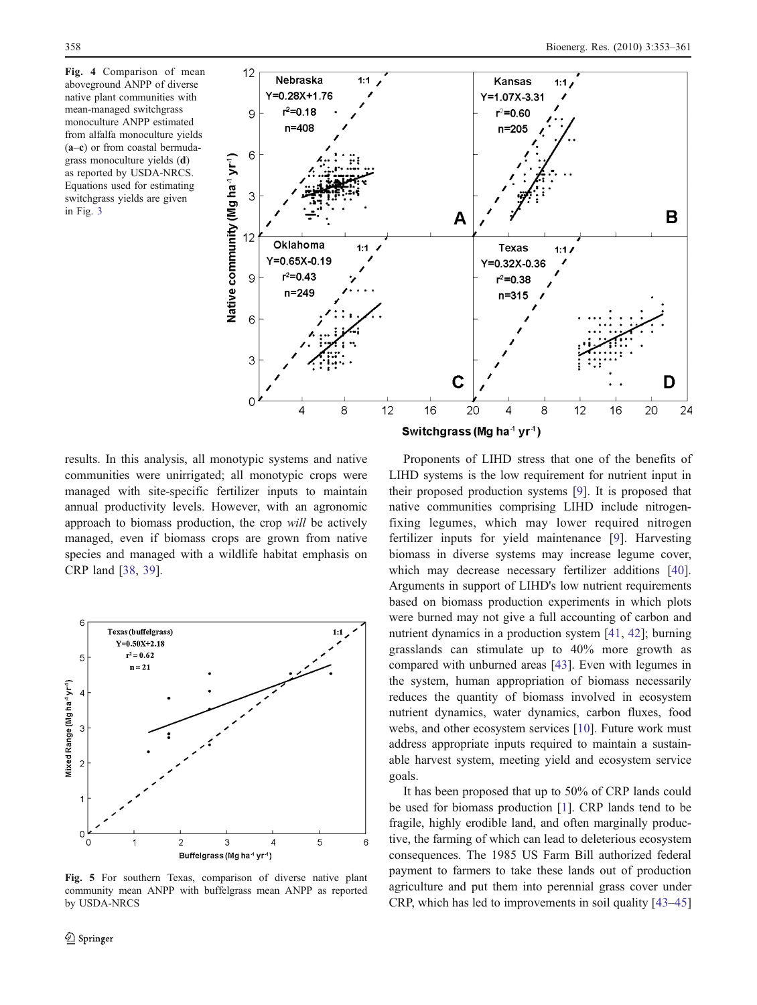<span id="page-5-0"></span>Fig. 4 Comparison of mean aboveground ANPP of diverse native plant communities with mean-managed switchgrass monoculture ANPP estimated from alfalfa monoculture yields (a–c) or from coastal bermudagrass monoculture yields (d) as reported by USDA-NRCS. Equations used for estimating switchgrass yields are given in Fig. [3](#page-4-0)



results. In this analysis, all monotypic systems and native communities were unirrigated; all monotypic crops were managed with site-specific fertilizer inputs to maintain annual productivity levels. However, with an agronomic approach to biomass production, the crop will be actively managed, even if biomass crops are grown from native species and managed with a wildlife habitat emphasis on CRP land [[38,](#page-8-0) [39](#page-8-0)].



Fig. 5 For southern Texas, comparison of diverse native plant community mean ANPP with buffelgrass mean ANPP as reported by USDA-NRCS

Proponents of LIHD stress that one of the benefits of LIHD systems is the low requirement for nutrient input in their proposed production systems [[9\]](#page-7-0). It is proposed that native communities comprising LIHD include nitrogenfixing legumes, which may lower required nitrogen fertilizer inputs for yield maintenance [[9\]](#page-7-0). Harvesting biomass in diverse systems may increase legume cover, which may decrease necessary fertilizer additions [[40\]](#page-8-0). Arguments in support of LIHD's low nutrient requirements based on biomass production experiments in which plots were burned may not give a full accounting of carbon and nutrient dynamics in a production system [[41,](#page-8-0) [42](#page-8-0)]; burning grasslands can stimulate up to 40% more growth as compared with unburned areas [[43\]](#page-8-0). Even with legumes in the system, human appropriation of biomass necessarily reduces the quantity of biomass involved in ecosystem nutrient dynamics, water dynamics, carbon fluxes, food webs, and other ecosystem services [\[10](#page-7-0)]. Future work must address appropriate inputs required to maintain a sustainable harvest system, meeting yield and ecosystem service goals.

It has been proposed that up to 50% of CRP lands could be used for biomass production [[1\]](#page-7-0). CRP lands tend to be fragile, highly erodible land, and often marginally productive, the farming of which can lead to deleterious ecosystem consequences. The 1985 US Farm Bill authorized federal payment to farmers to take these lands out of production agriculture and put them into perennial grass cover under CRP, which has led to improvements in soil quality [\[43](#page-8-0)–[45](#page-8-0)]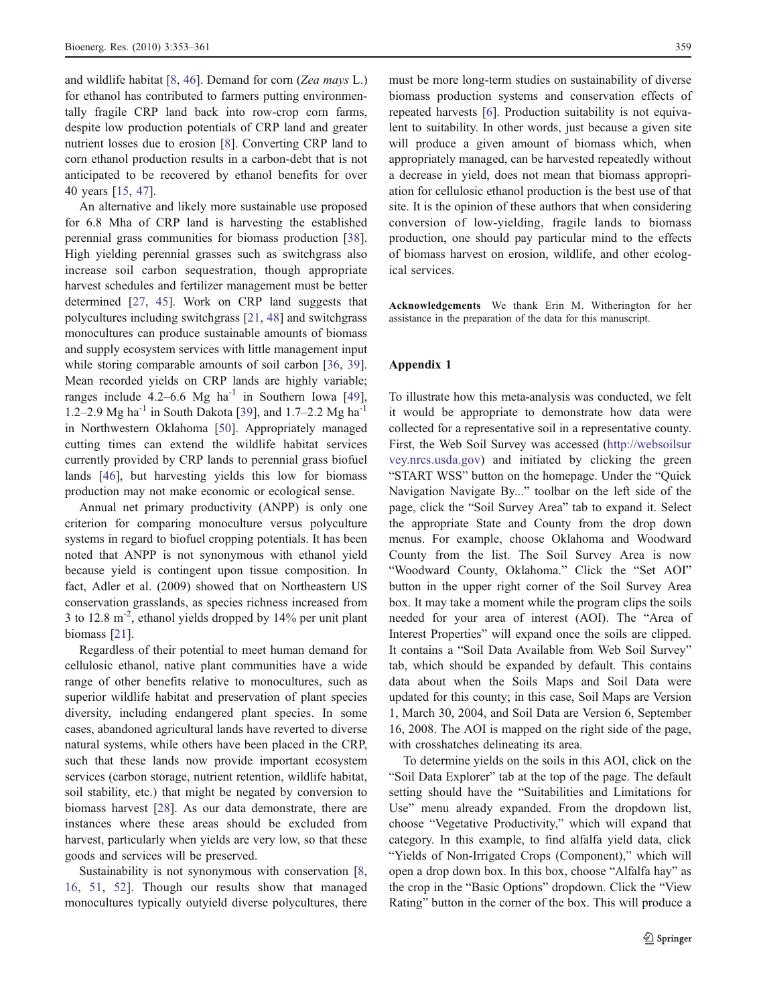<span id="page-6-0"></span>and wildlife habitat [\[8](#page-7-0), [46](#page-8-0)]. Demand for corn (Zea mays L.) for ethanol has contributed to farmers putting environmentally fragile CRP land back into row-crop corn farms, despite low production potentials of CRP land and greater nutrient losses due to erosion [[8\]](#page-7-0). Converting CRP land to corn ethanol production results in a carbon-debt that is not anticipated to be recovered by ethanol benefits for over 40 years [[15,](#page-7-0) [47](#page-8-0)].

An alternative and likely more sustainable use proposed for 6.8 Mha of CRP land is harvesting the established perennial grass communities for biomass production [\[38](#page-8-0)]. High yielding perennial grasses such as switchgrass also increase soil carbon sequestration, though appropriate harvest schedules and fertilizer management must be better determined [\[27](#page-7-0), [45\]](#page-8-0). Work on CRP land suggests that polycultures including switchgrass [[21,](#page-7-0) [48](#page-8-0)] and switchgrass monocultures can produce sustainable amounts of biomass and supply ecosystem services with little management input while storing comparable amounts of soil carbon [\[36](#page-8-0), [39](#page-8-0)]. Mean recorded yields on CRP lands are highly variable; ranges include 4.2–6.6 Mg ha<sup>-1</sup> in Southern Iowa [\[49](#page-8-0)], 1.2–2.9 Mg ha<sup>-1</sup> in South Dakota [\[39](#page-8-0)], and 1.7–2.2 Mg ha<sup>-1</sup> in Northwestern Oklahoma [\[50](#page-8-0)]. Appropriately managed cutting times can extend the wildlife habitat services currently provided by CRP lands to perennial grass biofuel lands [\[46](#page-8-0)], but harvesting yields this low for biomass production may not make economic or ecological sense.

Annual net primary productivity (ANPP) is only one criterion for comparing monoculture versus polyculture systems in regard to biofuel cropping potentials. It has been noted that ANPP is not synonymous with ethanol yield because yield is contingent upon tissue composition. In fact, Adler et al. (2009) showed that on Northeastern US conservation grasslands, as species richness increased from 3 to  $12.8 \text{ m}^{-2}$ , ethanol yields dropped by  $14\%$  per unit plant biomass [[21\]](#page-7-0).

Regardless of their potential to meet human demand for cellulosic ethanol, native plant communities have a wide range of other benefits relative to monocultures, such as superior wildlife habitat and preservation of plant species diversity, including endangered plant species. In some cases, abandoned agricultural lands have reverted to diverse natural systems, while others have been placed in the CRP, such that these lands now provide important ecosystem services (carbon storage, nutrient retention, wildlife habitat, soil stability, etc.) that might be negated by conversion to biomass harvest [[28\]](#page-7-0). As our data demonstrate, there are instances where these areas should be excluded from harvest, particularly when yields are very low, so that these goods and services will be preserved.

Sustainability is not synonymous with conservation [[8,](#page-7-0) [16](#page-7-0), [51,](#page-8-0) [52\]](#page-8-0). Though our results show that managed monocultures typically outyield diverse polycultures, there must be more long-term studies on sustainability of diverse biomass production systems and conservation effects of repeated harvests [[6\]](#page-7-0). Production suitability is not equivalent to suitability. In other words, just because a given site will produce a given amount of biomass which, when appropriately managed, can be harvested repeatedly without a decrease in yield, does not mean that biomass appropriation for cellulosic ethanol production is the best use of that site. It is the opinion of these authors that when considering conversion of low-yielding, fragile lands to biomass production, one should pay particular mind to the effects of biomass harvest on erosion, wildlife, and other ecological services.

Acknowledgements We thank Erin M. Witherington for her assistance in the preparation of the data for this manuscript.

# Appendix 1

To illustrate how this meta-analysis was conducted, we felt it would be appropriate to demonstrate how data were collected for a representative soil in a representative county. First, the Web Soil Survey was accessed ([http://websoilsur](http://websoilsurvey.nrcs.usda.gov) [vey.nrcs.usda.gov](http://websoilsurvey.nrcs.usda.gov)) and initiated by clicking the green "START WSS" button on the homepage. Under the "Quick Navigation Navigate By..." toolbar on the left side of the page, click the "Soil Survey Area" tab to expand it. Select the appropriate State and County from the drop down menus. For example, choose Oklahoma and Woodward County from the list. The Soil Survey Area is now "Woodward County, Oklahoma." Click the "Set AOI" button in the upper right corner of the Soil Survey Area box. It may take a moment while the program clips the soils needed for your area of interest (AOI). The "Area of Interest Properties" will expand once the soils are clipped. It contains a "Soil Data Available from Web Soil Survey" tab, which should be expanded by default. This contains data about when the Soils Maps and Soil Data were updated for this county; in this case, Soil Maps are Version 1, March 30, 2004, and Soil Data are Version 6, September 16, 2008. The AOI is mapped on the right side of the page, with crosshatches delineating its area.

To determine yields on the soils in this AOI, click on the "Soil Data Explorer" tab at the top of the page. The default setting should have the "Suitabilities and Limitations for Use" menu already expanded. From the dropdown list, choose "Vegetative Productivity," which will expand that category. In this example, to find alfalfa yield data, click "Yields of Non-Irrigated Crops (Component)," which will open a drop down box. In this box, choose "Alfalfa hay" as the crop in the "Basic Options" dropdown. Click the "View Rating" button in the corner of the box. This will produce a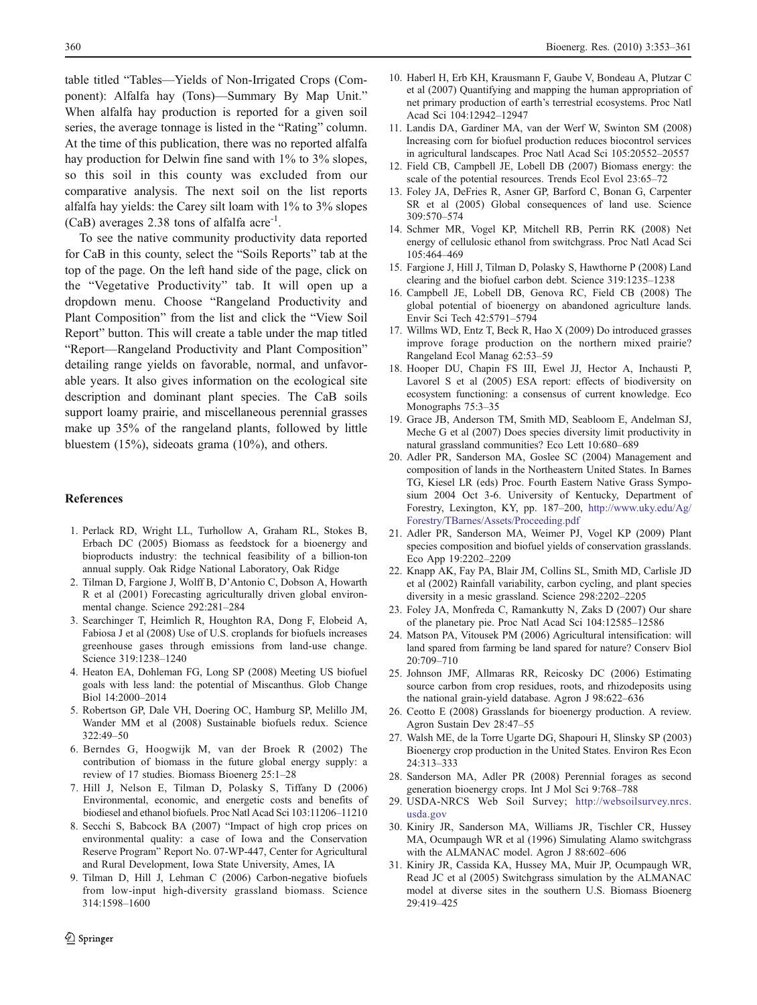<span id="page-7-0"></span>table titled "Tables—Yields of Non-Irrigated Crops (Component): Alfalfa hay (Tons)—Summary By Map Unit." When alfalfa hay production is reported for a given soil series, the average tonnage is listed in the "Rating" column. At the time of this publication, there was no reported alfalfa hay production for Delwin fine sand with 1% to 3% slopes, so this soil in this county was excluded from our comparative analysis. The next soil on the list reports alfalfa hay yields: the Carey silt loam with 1% to 3% slopes (CaB) averages  $2.38$  tons of alfalfa acre<sup>-1</sup>.

To see the native community productivity data reported for CaB in this county, select the "Soils Reports" tab at the top of the page. On the left hand side of the page, click on the "Vegetative Productivity" tab. It will open up a dropdown menu. Choose "Rangeland Productivity and Plant Composition" from the list and click the "View Soil Report" button. This will create a table under the map titled "Report—Rangeland Productivity and Plant Composition" detailing range yields on favorable, normal, and unfavorable years. It also gives information on the ecological site description and dominant plant species. The CaB soils support loamy prairie, and miscellaneous perennial grasses make up 35% of the rangeland plants, followed by little bluestem (15%), sideoats grama (10%), and others.

## **References**

- 1. Perlack RD, Wright LL, Turhollow A, Graham RL, Stokes B, Erbach DC (2005) Biomass as feedstock for a bioenergy and bioproducts industry: the technical feasibility of a billion-ton annual supply. Oak Ridge National Laboratory, Oak Ridge
- 2. Tilman D, Fargione J, Wolff B, D'Antonio C, Dobson A, Howarth R et al (2001) Forecasting agriculturally driven global environmental change. Science 292:281–284
- 3. Searchinger T, Heimlich R, Houghton RA, Dong F, Elobeid A, Fabiosa J et al (2008) Use of U.S. croplands for biofuels increases greenhouse gases through emissions from land-use change. Science 319:1238–1240
- 4. Heaton EA, Dohleman FG, Long SP (2008) Meeting US biofuel goals with less land: the potential of Miscanthus. Glob Change Biol 14:2000–2014
- 5. Robertson GP, Dale VH, Doering OC, Hamburg SP, Melillo JM, Wander MM et al (2008) Sustainable biofuels redux. Science 322:49–50
- 6. Berndes G, Hoogwijk M, van der Broek R (2002) The contribution of biomass in the future global energy supply: a review of 17 studies. Biomass Bioenerg 25:1–28
- 7. Hill J, Nelson E, Tilman D, Polasky S, Tiffany D (2006) Environmental, economic, and energetic costs and benefits of biodiesel and ethanol biofuels. Proc Natl Acad Sci 103:11206–11210
- 8. Secchi S, Babcock BA (2007) "Impact of high crop prices on environmental quality: a case of Iowa and the Conservation Reserve Program" Report No. 07-WP-447, Center for Agricultural and Rural Development, Iowa State University, Ames, IA
- 9. Tilman D, Hill J, Lehman C (2006) Carbon-negative biofuels from low-input high-diversity grassland biomass. Science 314:1598–1600
- 10. Haberl H, Erb KH, Krausmann F, Gaube V, Bondeau A, Plutzar C et al (2007) Quantifying and mapping the human appropriation of net primary production of earth's terrestrial ecosystems. Proc Natl Acad Sci 104:12942–12947
- 11. Landis DA, Gardiner MA, van der Werf W, Swinton SM (2008) Increasing corn for biofuel production reduces biocontrol services in agricultural landscapes. Proc Natl Acad Sci 105:20552–20557
- 12. Field CB, Campbell JE, Lobell DB (2007) Biomass energy: the scale of the potential resources. Trends Ecol Evol 23:65–72
- 13. Foley JA, DeFries R, Asner GP, Barford C, Bonan G, Carpenter SR et al (2005) Global consequences of land use. Science 309:570–574
- 14. Schmer MR, Vogel KP, Mitchell RB, Perrin RK (2008) Net energy of cellulosic ethanol from switchgrass. Proc Natl Acad Sci 105:464–469
- 15. Fargione J, Hill J, Tilman D, Polasky S, Hawthorne P (2008) Land clearing and the biofuel carbon debt. Science 319:1235–1238
- 16. Campbell JE, Lobell DB, Genova RC, Field CB (2008) The global potential of bioenergy on abandoned agriculture lands. Envir Sci Tech 42:5791–5794
- 17. Willms WD, Entz T, Beck R, Hao X (2009) Do introduced grasses improve forage production on the northern mixed prairie? Rangeland Ecol Manag 62:53–59
- 18. Hooper DU, Chapin FS III, Ewel JJ, Hector A, Inchausti P, Lavorel S et al (2005) ESA report: effects of biodiversity on ecosystem functioning: a consensus of current knowledge. Eco Monographs 75:3–35
- 19. Grace JB, Anderson TM, Smith MD, Seabloom E, Andelman SJ, Meche G et al (2007) Does species diversity limit productivity in natural grassland communities? Eco Lett 10:680–689
- 20. Adler PR, Sanderson MA, Goslee SC (2004) Management and composition of lands in the Northeastern United States. In Barnes TG, Kiesel LR (eds) Proc. Fourth Eastern Native Grass Symposium 2004 Oct 3-6. University of Kentucky, Department of Forestry, Lexington, KY, pp. 187–200, [http://www.uky.edu/Ag/](http://www.uky.edu/Ag/Forestry/TBarnes/Assets/Proceeding.pdf) [Forestry/TBarnes/Assets/Proceeding.pdf](http://www.uky.edu/Ag/Forestry/TBarnes/Assets/Proceeding.pdf)
- 21. Adler PR, Sanderson MA, Weimer PJ, Vogel KP (2009) Plant species composition and biofuel yields of conservation grasslands. Eco App 19:2202–2209
- 22. Knapp AK, Fay PA, Blair JM, Collins SL, Smith MD, Carlisle JD et al (2002) Rainfall variability, carbon cycling, and plant species diversity in a mesic grassland. Science 298:2202–2205
- 23. Foley JA, Monfreda C, Ramankutty N, Zaks D (2007) Our share of the planetary pie. Proc Natl Acad Sci 104:12585–12586
- 24. Matson PA, Vitousek PM (2006) Agricultural intensification: will land spared from farming be land spared for nature? Conserv Biol 20:709–710
- 25. Johnson JMF, Allmaras RR, Reicosky DC (2006) Estimating source carbon from crop residues, roots, and rhizodeposits using the national grain-yield database. Agron J 98:622–636
- 26. Ceotto E (2008) Grasslands for bioenergy production. A review. Agron Sustain Dev 28:47–55
- 27. Walsh ME, de la Torre Ugarte DG, Shapouri H, Slinsky SP (2003) Bioenergy crop production in the United States. Environ Res Econ 24:313–333
- 28. Sanderson MA, Adler PR (2008) Perennial forages as second generation bioenergy crops. Int J Mol Sci 9:768–788
- 29. USDA-NRCS Web Soil Survey; [http://websoilsurvey.nrcs.](http://websoilsurvey.nrcs.usda.gov) [usda.gov](http://websoilsurvey.nrcs.usda.gov)
- 30. Kiniry JR, Sanderson MA, Williams JR, Tischler CR, Hussey MA, Ocumpaugh WR et al (1996) Simulating Alamo switchgrass with the ALMANAC model. Agron J 88:602–606
- 31. Kiniry JR, Cassida KA, Hussey MA, Muir JP, Ocumpaugh WR, Read JC et al (2005) Switchgrass simulation by the ALMANAC model at diverse sites in the southern U.S. Biomass Bioenerg 29:419–425